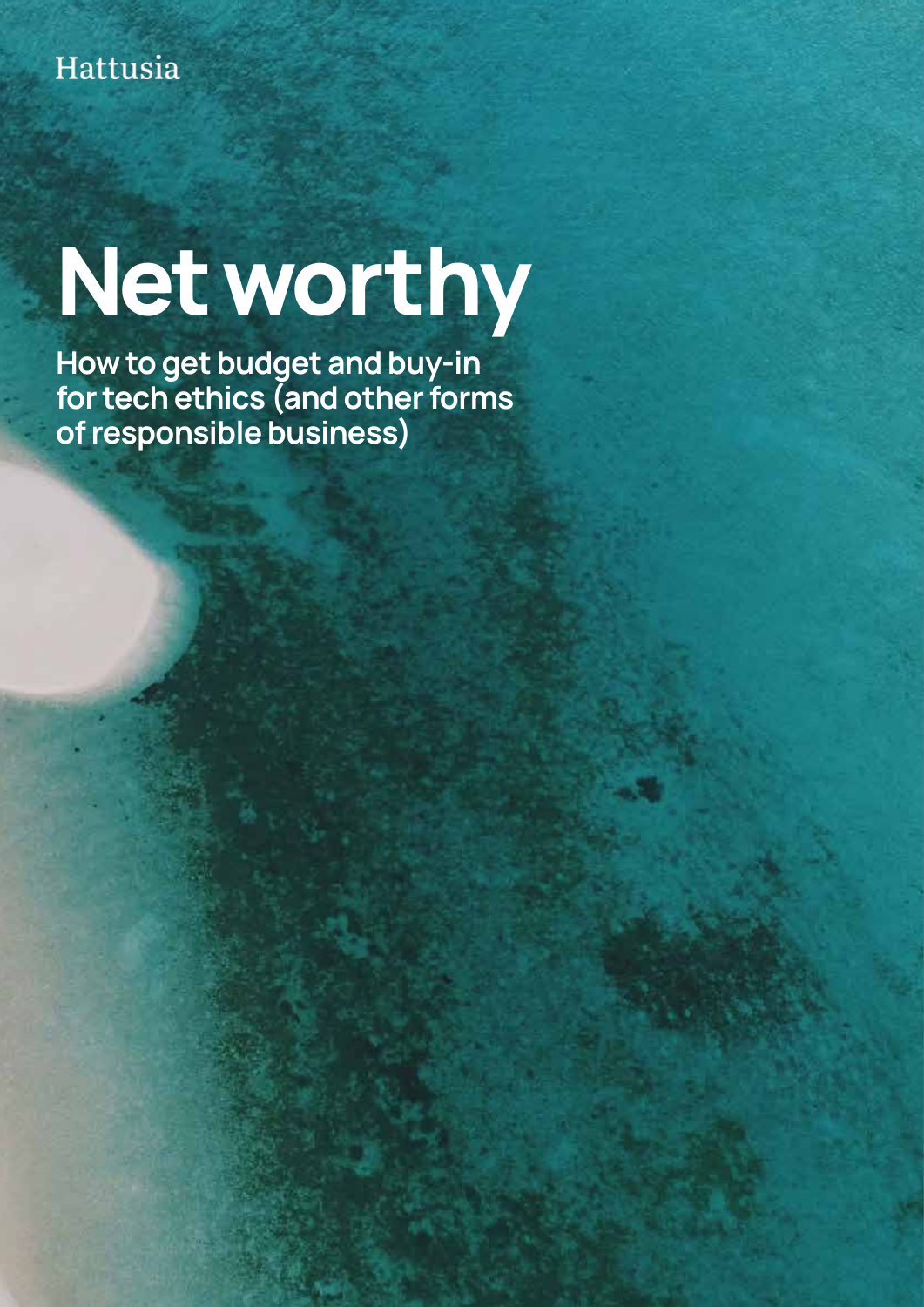# Net worthy

How to get budget and buy-in for tech ethics (and other forms of responsible business)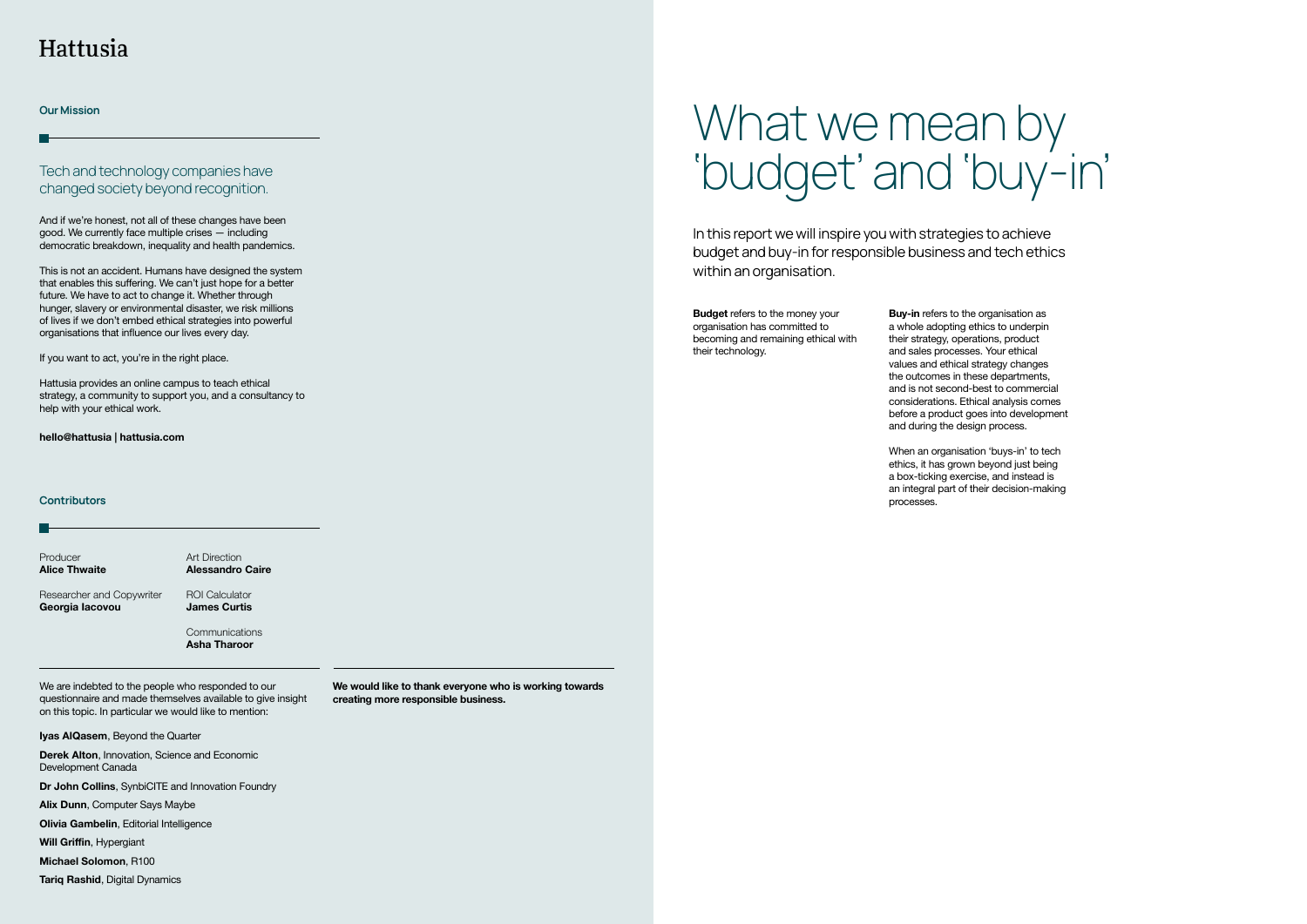We are indebted to the people who responded to our questionnaire and made themselves available to give insight on this topic. In particular we would like to mention:

**Iyas AlQasem**, Beyond the Quarter

**Derek Alton**, Innovation, Science and Economic Development Canada

**Dr John Collins**, SynbiCITE and Innovation Foundry

**Alix Dunn**, Computer Says Maybe

**Olivia Gambelin**, Editorial Intelligence

**Will Griffin, Hypergiant** 

This is not an accident. Humans have designed the system that enables this suffering. We can't just hope for a better future. We have to act to change it. Whether through hunger, slavery or environmental disaster, we risk millions of lives if we don't embed ethical strategies into powerful organisations that influence our lives every day.

**Michael Solomon**, R100

**Tariq Rashid**, Digital Dynamics

Producer **Alice Thwaite**  Researcher and Copywriter **Georgia Iacovou**  Art Direction **Alessandro Caire** ROI Calculator **James Curtis**

Communications **Asha Tharoor**

**hello@hattusia | hattusia.com**

### **Contributors**

And if we're honest, not all of these changes have been good. We currently face multiple crises — including democratic breakdown, inequality and health pandemics.

# What we mean by 'budget' and 'buy-in'

When an organisation 'buys-in' to tech ethics, it has grown beyond just being a box-ticking exercise, and instead is an integral part of their decision-making processes.

If you want to act, you're in the right place.

Hattusia provides an online campus to teach ethical strategy, a community to support you, and a consultancy to help with your ethical work.

Tech and technology companies have changed society beyond recognition.

# Hattusia

Our Mission

In this report we will inspire you with strategies to achieve budget and buy-in for responsible business and tech ethics within an organisation.

**Budget** refers to the money your organisation has committed to becoming and remaining ethical with their technology.

**Buy-in** refers to the organisation as a whole adopting ethics to underpin their strategy, operations, product and sales processes. Your ethical values and ethical strategy changes the outcomes in these departments, and is not second-best to commercial considerations. Ethical analysis comes before a product goes into development and during the design process.

**We would like to thank everyone who is working towards creating more responsible business.**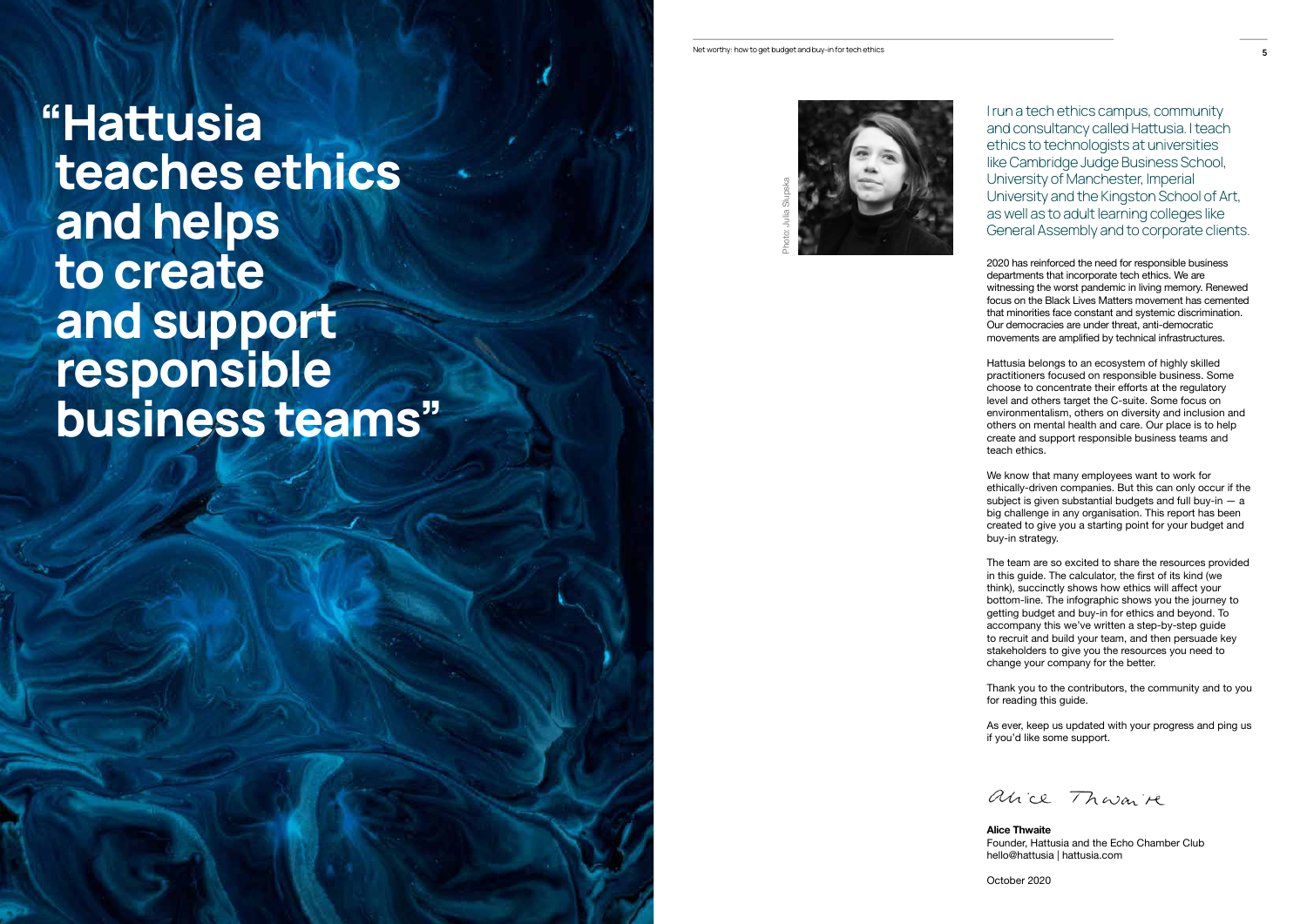2020 has reinforced the need for responsible business departments that incorporate tech ethics. We are witnessing the worst pandemic in living memory. Renewed focus on the Black Lives Matters movement has cemented that minorities face constant and systemic discrimination. Our democracies are under threat, anti-democratic movements are amplified by technical infrastructures.

Hattusia belongs to an ecosystem of highly skilled practitioners focused on responsible business. Some choose to concentrate their efforts at the regulatory level and others target the C-suite. Some focus on environmentalism, others on diversity and inclusion and others on mental health and care. Our place is to help create and support responsible business teams and teach ethics.

We know that many employees want to work for ethically-driven companies. But this can only occur if the subject is given substantial budgets and full buy-in  $-$  a big challenge in any organisation. This report has been created to give you a starting point for your budget and buy-in strategy.

The team are so excited to share the resources provided in this quide. The calculator, the first of its kind (we think), succinctly shows how ethics will affect your bottom-line. The infographic shows you the journey to getting budget and buy-in for ethics and beyond. To accompany this we've written a step-by-step guide to recruit and build your team, and then persuade key stakeholders to give you the resources you need to change your company for the better.

Thank you to the contributors, the community and to you for reading this guide.

As ever, keep us updated with your progress and ping us if you'd like some support.

alice Thouaire

**Alice Thwaite** Founder, Hattusia and the Echo Chamber Club hello@hattusia | hattusia.com

October 2020



I run a tech ethics campus, community and consultancy called Hatusia. I teach ethics to technologists at universities like Cambridge Judge Business School, University of Manchester, Imperial University and the Kingston School of Art, as well as to adult learning colleges like General Assembly and to corporate clients.

"Hatusia teaches ethics and helps to create and support responsible business teams"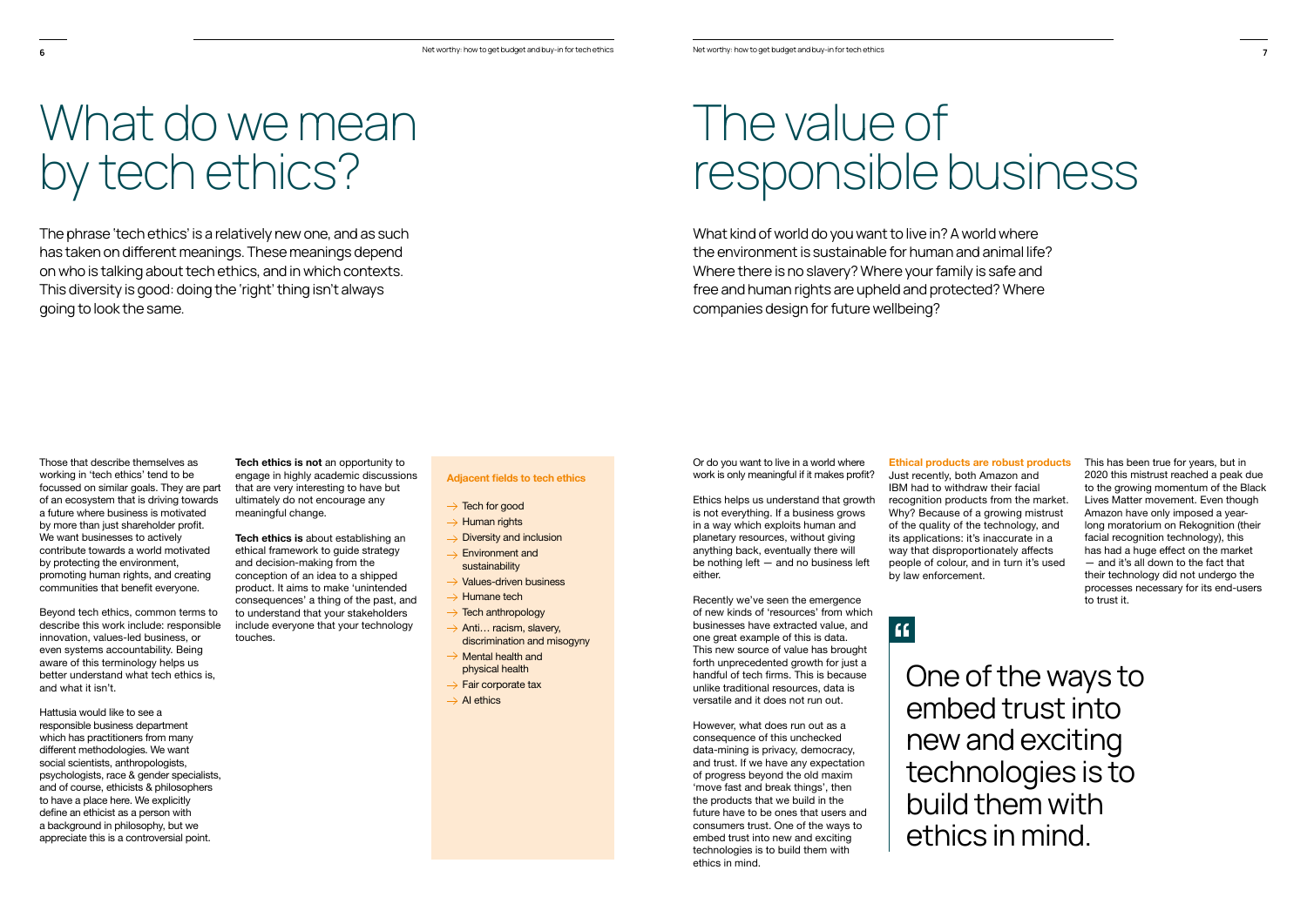Those that describe themselves as working in 'tech ethics' tend to be focussed on similar goals. They are part of an ecosystem that is driving towards a future where business is motivated by more than just shareholder profit. We want businesses to actively contribute towards a world motivated by protecting the environment, promoting human rights, and creating communities that benefit everyone.

The phrase 'tech ethics' is a relatively new one, and as such has taken on diferent meanings. These meanings depend on who is talking about tech ethics, and in which contexts. This diversity is good: doing the 'right' thing isn't always going to look the same.

# What do we mean by tech ethics?

Beyond tech ethics, common terms to describe this work include: responsible innovation, values-led business, or even systems accountability. Being aware of this terminology helps us better understand what tech ethics is, and what it isn't.

Hattusia would like to see a responsible business department which has practitioners from many different methodologies. We want social scientists, anthropologists, psychologists, race & gender specialists, and of course, ethicists & philosophers to have a place here. We explicitly define an ethicist as a person with a background in philosophy, but we appreciate this is a controversial point.

Or do you want to live in a world where work is only meaningful if it makes profit?

**Tech ethics is not** an opportunity to engage in highly academic discussions that are very interesting to have but ultimately do not encourage any meaningful change.

**Tech ethics is** about establishing an ethical framework to guide strategy and decision-making from the conception of an idea to a shipped product. It aims to make 'unintended consequences' a thing of the past, and to understand that your stakeholders include everyone that your technology touches.

**Adiacent fields to tech ethics** 

- $\rightarrow$  Tech for good
- $\rightarrow$  Human rights
- $\rightarrow$  Diversity and inclusion
- $\rightarrow$  Environment and sustainability
- $\rightarrow$  Values-driven business
- $\rightarrow$  Humane tech
- $\rightarrow$  Tech anthropology
- $\rightarrow$  Anti... racism, slavery, discrimination and misogyny
- $\rightarrow$  Mental health and physical health
- $\rightarrow$  Fair corporate tax
- $\rightarrow$  AI ethics

What kind of world do you want to live in? A world where the environment is sustainable for human and animal life? Where there is no slavery? Where your family is safe and free and human rights are upheld and protected? Where companies design for future wellbeing?

# The value of responsible business

Ethics helps us understand that growth is not everything. If a business grows in a way which exploits human and planetary resources, without giving anything back, eventually there will be nothing left — and no business left either.

Recently we've seen the emergence of new kinds of 'resources' from which businesses have extracted value, and one great example of this is data. This new source of value has brought forth unprecedented growth for just a handful of tech firms. This is because unlike traditional resources, data is versatile and it does not run out.

However, what does run out as a consequence of this unchecked data-mining is privacy, democracy, and trust. If we have any expectation of progress beyond the old maxim 'move fast and break things', then the products that we build in the future have to be ones that users and consumers trust. One of the ways to embed trust into new and exciting technologies is to build them with ethics in mind.

# **Ethical products are robust products**

Just recently, both Amazon and IBM had to withdraw their facial recognition products from the market. Why? Because of a growing mistrust of the quality of the technology, and its applications: it's inaccurate in a way that disproportionately affects people of colour, and in turn it's used by law enforcement.

# $\overline{\mathbf{G}}$

One of the ways to embed trust into new and exciting technologies is to build them with ethics in mind.

This has been true for years, but in 2020 this mistrust reached a peak due to the growing momentum of the Black Lives Matter movement. Even though Amazon have only imposed a year-Iong moratorium on Rekognition (their facial recognition technology), this has had a huge effect on the market — and it's all down to the fact that their technology did not undergo the processes necessary for its end-users to trust it.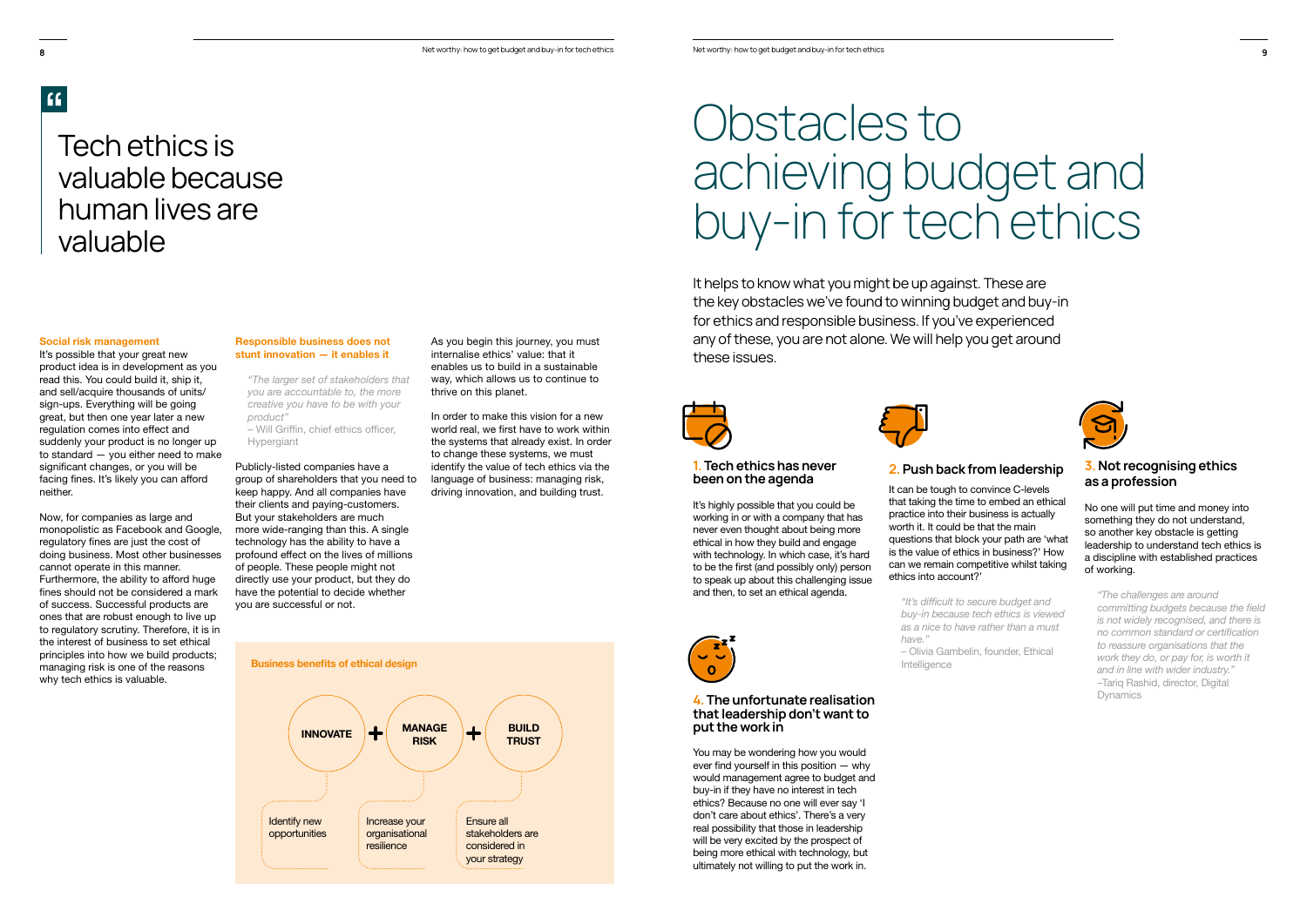It helps to know what you might be up against. These are the key obstacles we've found to winning budget and buy-in for ethics and responsible business. If you've experienced any of these, you are not alone. We will help you get around these issues.



It's highly possible that you could be working in or with a company that has never even thought about being more ethical in how they build and engage with technology. In which case, it's hard to be the first (and possibly only) person to speak up about this challenging issue and then, to set an ethical agenda.



# Obstacles to achieving budget and buy-in for tech ethics

## 1. Tech ethics has never been on the agenda

## 4. The unfortunate realisation that leadership don't want to put the work in

You may be wondering how you would ever find yourself in this position  $-$  why would management agree to budget and buy-in if they have no interest in tech ethics? Because no one will ever say 'I don't care about ethics'. There's a very real possibility that those in leadership will be very excited by the prospect of being more ethical with technology, but ultimately not willing to put the work in.



- Will Griffin, chief ethics officer, Hypergiant

### **Social risk management**

 $f$ 

It can be tough to convince C-levels that taking the time to embed an ethical practice into their business is actually worth it. It could be that the main questions that block your path are 'what is the value of ethics in business?' How can we remain competitive whilst taking ethics into account?'

It's possible that your great new product idea is in development as you read this. You could build it, ship it, and sell/acquire thousands of units/ sign-ups. Everything will be going great, but then one year later a new regulation comes into effect and suddenly your product is no longer up to standard — you either need to make significant changes, or you will be facing fines. It's likely you can afford neither.

> "It's difficult to secure budget and *buy-in because tech ethics is viewed as a nice to have rather than a must have."* – Olivia Gambelin, founder, Ethical Intelligence





Now, for companies as large and monopolistic as Facebook and Google, regulatory fines are just the cost of doing business. Most other businesses cannot operate in this manner. Furthermore, the ability to afford huge fines should not be considered a mark of success. Successful products are ones that are robust enough to live up to regulatory scrutiny. Therefore, it is in the interest of business to set ethical principles into how we build products; managing risk is one of the reasons why tech ethics is valuable.

As you begin this journey, you must internalise ethics' value: that it enables us to build in a sustainable way, which allows us to continue to thrive on this planet.

**Responsible business does not stunt innovation — it enables it**

*"The larger set of stakeholders that you are accountable to, the more creative you have to be with your product"*

Publicly-listed companies have a group of shareholders that you need to keep happy. And all companies have their clients and paying-customers. But your stakeholders are much more wide-ranging than this. A single technology has the ability to have a profound effect on the lives of millions of people. These people might not directly use your product, but they do have the potential to decide whether you are successful or not.

# Tech ethics is valuable because human lives are valuable

# 2. Push back from leadership

## 3. Not recognising ethics as a profession

No one will put time and money into something they do not understand, so another key obstacle is getting leadership to understand tech ethics is a discipline with established practices of working.

*"The challenges are around committing budgets because the field is not widely recognised, and there is*  no common standard or certification *to reassure organisations that the work they do, or pay for, is worth it and in line with wider industry."* –Tariq Rashid, director, Digital Dynamics

In order to make this vision for a new world real we first have to work within the systems that already exist. In order to change these systems, we must identify the value of tech ethics via the language of business: managing risk, driving innovation, and building trust.



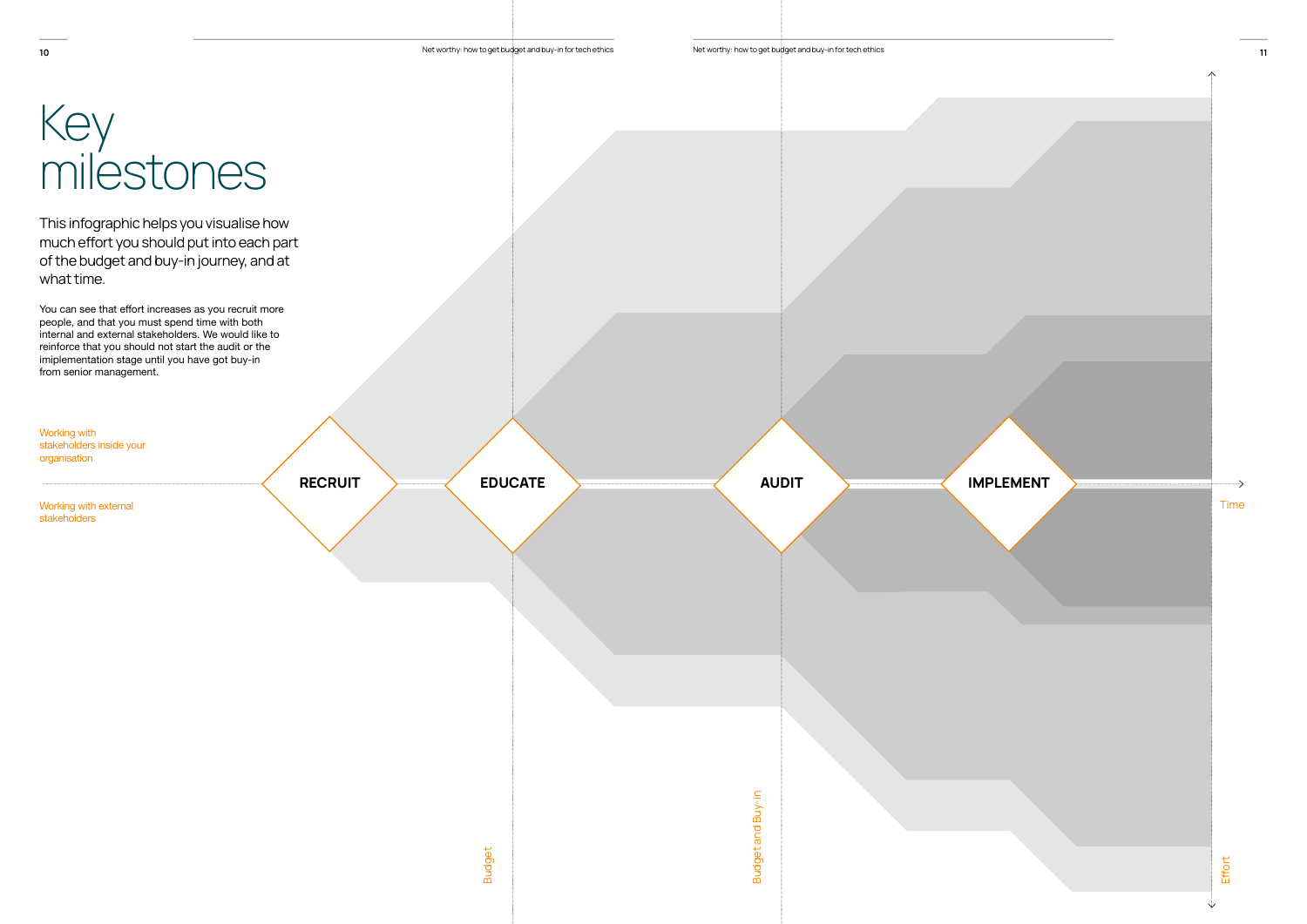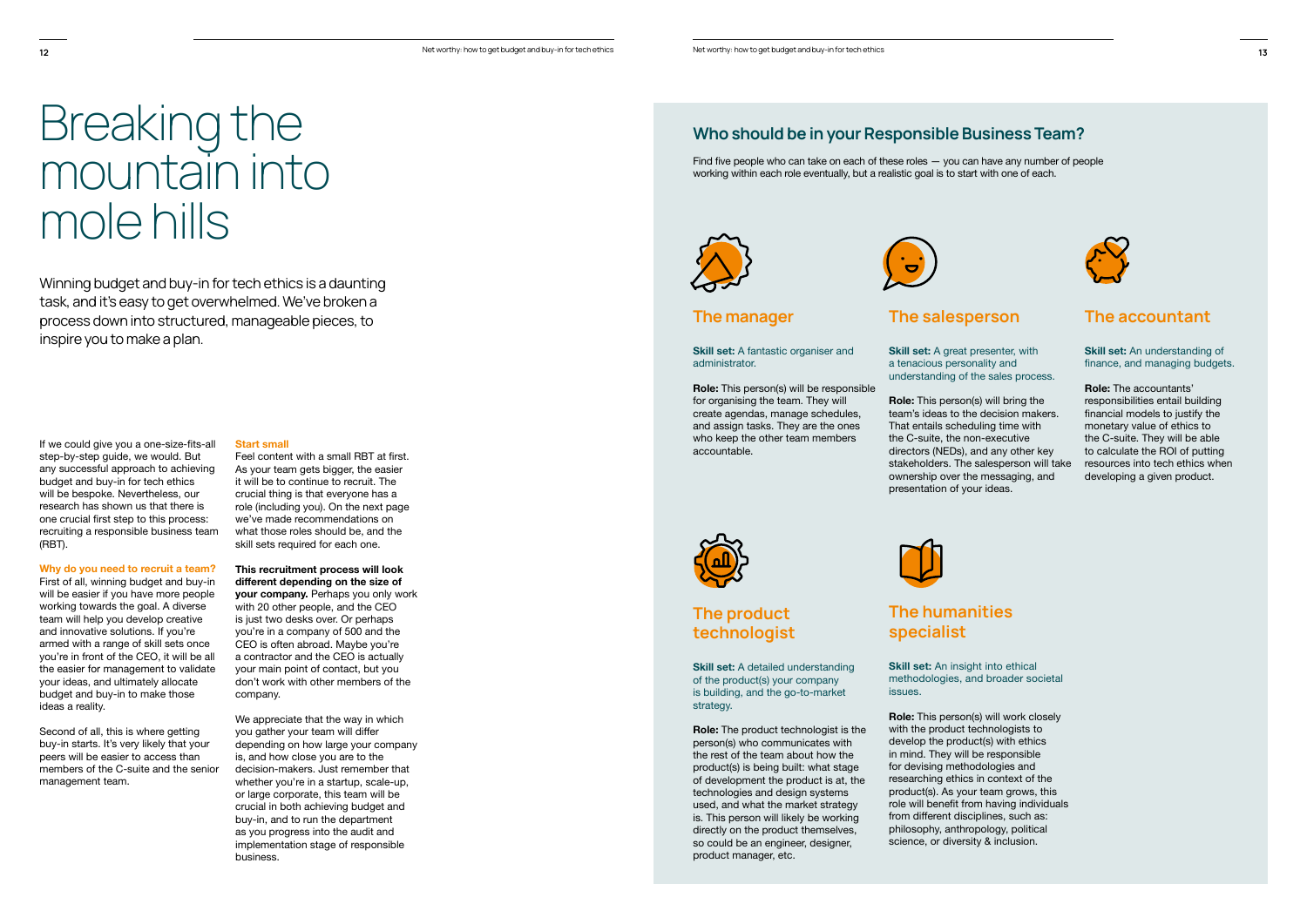Winning budget and buy-in for tech ethics is a daunting task, and it's easy to get overwhelmed. We've broken a process down into structured, manageable pieces, to inspire you to make a plan.

If we could give you a one-size-fits-all step-by-step guide, we would. But any successful approach to achieving budget and buy-in for tech ethics will be bespoke. Nevertheless, our research has shown us that there is one crucial first step to this process: recruiting a responsible business team (RBT).

# Breaking the mountain into mole hills

### **Why do you need to recruit a team?**

Find five people who can take on each of these roles  $-$  you can have any number of people working within each role eventually, but a realistic goal is to start with one of each.





Feel content with a small RBT at first. As your team gets bigger, the easier it will be to continue to recruit. The crucial thing is that everyone has a role (including you). On the next page we've made recommendations on what those roles should be, and the skill sets required for each one.

First of all, winning budget and buy-in will be easier if you have more people working towards the goal. A diverse team will help you develop creative and innovative solutions. If you're armed with a range of skill sets once you're in front of the CEO, it will be all the easier for management to validate your ideas, and ultimately allocate budget and buy-in to make those ideas a reality.

Second of all, this is where getting buy-in starts. It's very likely that your peers will be easier to access than members of the C-suite and the senior management team.

**Skill set:** A fantastic organiser and administrator.

**Role:** This person(s) will be responsible for organising the team. They will create agendas, manage schedules, and assign tasks. They are the ones who keep the other team members accountable.



## **Start small**

**Skill set:** A detailed understanding of the product(s) your company is building, and the go-to-market strategy.

**Skill set:** A great presenter, with a tenacious personality and understanding of the sales process.

**This recruitment process will look**  different depending on the size of **your company.** Perhaps you only work with 20 other people, and the CEO is just two desks over. Or perhaps you're in a company of 500 and the CEO is often abroad. Maybe you're a contractor and the CEO is actually your main point of contact, but you don't work with other members of the company.

**Role:** This person(s) will bring the team's ideas to the decision makers. That entails scheduling time with the C-suite, the non-executive directors (NEDs), and any other key stakeholders. The salesperson will take ownership over the messaging, and presentation of your ideas.



**Skill set:** An insight into ethical methodologies, and broader societal issues.

**Role:** This person(s) will work closely with the product technologists to develop the product(s) with ethics in mind. They will be responsible for devising methodologies and researching ethics in context of the product(s). As your team grows, this role will benefit from having individuals from different disciplines, such as: philosophy, anthropology, political science, or diversity & inclusion.



We appreciate that the way in which vou gather your team will differ depending on how large your company is, and how close you are to the decision-makers. Just remember that whether you're in a startup, scale-up, or large corporate, this team will be crucial in both achieving budget and buy-in, and to run the department as you progress into the audit and implementation stage of responsible business.

# Who should be in your Responsible Business Team?

# The manager

# The product technologist

**Role:** The product technologist is the person(s) who communicates with the rest of the team about how the product(s) is being built: what stage of development the product is at, the technologies and design systems used, and what the market strategy is. This person will likely be working directly on the product themselves, so could be an engineer, designer, product manager, etc.

# The accountant

**Skill set:** An understanding of finance, and managing budgets.

**Role:** The accountants' responsibilities entail building financial models to justify the monetary value of ethics to the C-suite. They will be able to calculate the ROI of putting resources into tech ethics when developing a given product.

# The salesperson

# The humanities specialist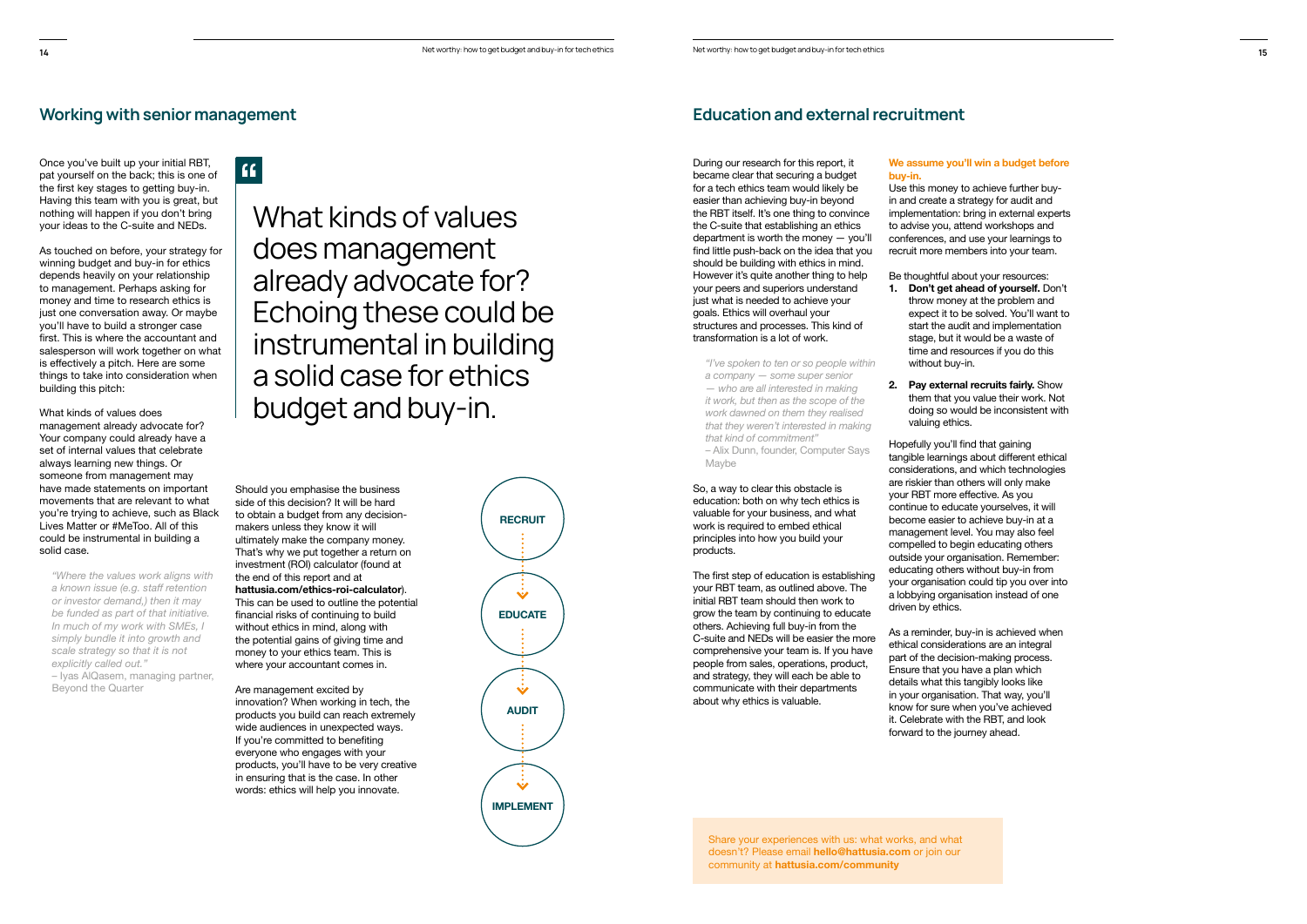$66$ 

Once you've built up your initial RBT, pat yourself on the back; this is one of the first key stages to getting buy-in. Having this team with you is great, but nothing will happen if you don't bring your ideas to the C-suite and NEDs.

As touched on before, your strategy for winning budget and buy-in for ethics depends heavily on your relationship to management. Perhaps asking for money and time to research ethics is just one conversation away. Or maybe you'll have to build a stronger case first. This is where the accountant and salesperson will work together on what is effectively a pitch. Here are some things to take into consideration when building this pitch:

What kinds of values does management already advocate for? Your company could already have a set of internal values that celebrate always learning new things. Or someone from management may have made statements on important movements that are relevant to what you're trying to achieve, such as Black Lives Matter or #MeToo. All of this could be instrumental in building a solid case.

*"Where the values work aligns with a* known issue (e.g. staff retention *or investor demand,) then it may be funded as part of that initiative. In much of my work with SMEs, I simply bundle it into growth and scale strategy so that it is not explicitly called out."*

– Iyas AlQasem, managing partner, Beyond the Quarter

The first step of education is establishing your RBT team, as outlined above. The initial RBT team should then work to grow the team by continuing to educate others. Achieving full buy-in from the C-suite and NEDs will be easier the more comprehensive your team is. If you have people from sales, operations, product, and strategy, they will each be able to communicate with their departments about why ethics is valuable.

During our research for this report, it became clear that securing a budget for a tech ethics team would likely be easier than achieving buy-in beyond the RBT itself. It's one thing to convince the C-suite that establishing an ethics department is worth the money — you'll find little push-back on the idea that you should be building with ethics in mind. However it's quite another thing to help your peers and superiors understand just what is needed to achieve your goals. Ethics will overhaul your structures and processes. This kind of transformation is a lot of work.

### We assume you'll win a budget before **buy-in.**

*"I've spoken to ten or so people within a company — some super senior — who are all interested in making it work, but then as the scope of the work dawned on them they realised that they weren't interested in making that kind of commitment"*

– Alix Dunn, founder, Computer Says Maybe

So, a way to clear this obstacle is education: both on why tech ethics is valuable for your business, and what work is required to embed ethical principles into how you build your products.

Hopefully you'll find that gaining tangible learnings about different ethical considerations, and which technologies are riskier than others will only make your RBT more effective. As you continue to educate yourselves, it will become easier to achieve buy-in at a management level. You may also feel compelled to begin educating others outside your organisation. Remember: educating others without buy-in from your organisation could tip you over into a lobbying organisation instead of one driven by ethics.

As a reminder, buy-in is achieved when ethical considerations are an integral part of the decision-making process. Ensure that you have a plan which details what this tangibly looks like in your organisation. That way, you'll know for sure when you've achieved it. Celebrate with the RBT, and look forward to the journey ahead.

Should you emphasise the business side of this decision? It will be hard to obtain a budget from any decisionmakers unless they know it will ultimately make the company money. That's why we put together a return on investment (ROI) calculator (found at the end of this report and at **hattusia.com/ethics-roi-calculator**). This can be used to outline the potential financial risks of continuing to build without ethics in mind, along with the potential gains of giving time and money to your ethics team. This is where your accountant comes in.

Are management excited by innovation? When working in tech, the products you build can reach extremely wide audiences in unexpected ways. If you're committed to benefiting everyone who engages with your products, you'll have to be very creative in ensuring that is the case. In other words: ethics will help you innovate.

Use this money to achieve further buyin and create a strategy for audit and implementation: bring in external experts to advise you, attend workshops and conferences, and use your learnings to recruit more members into your team.

Be thoughtful about your resources: **1. Don't get ahead of yourself.** Don't throw money at the problem and expect it to be solved. You'll want to start the audit and implementation stage, but it would be a waste of time and resources if you do this

- without buy-in.
- **2.** Pay external recruits fairly. Show them that you value their work. Not valuing ethics.

doing so would be inconsistent with

Share your experiences with us: what works, and what doesn't? Please email hello@hattusia.com or join our community at **hattusia.com/community**



# Working with senior management **Education and external recruitment** Education and external recruitment

What kinds of values does management already advocate for? Echoing these could be instrumental in building a solid case for ethics budget and buy-in.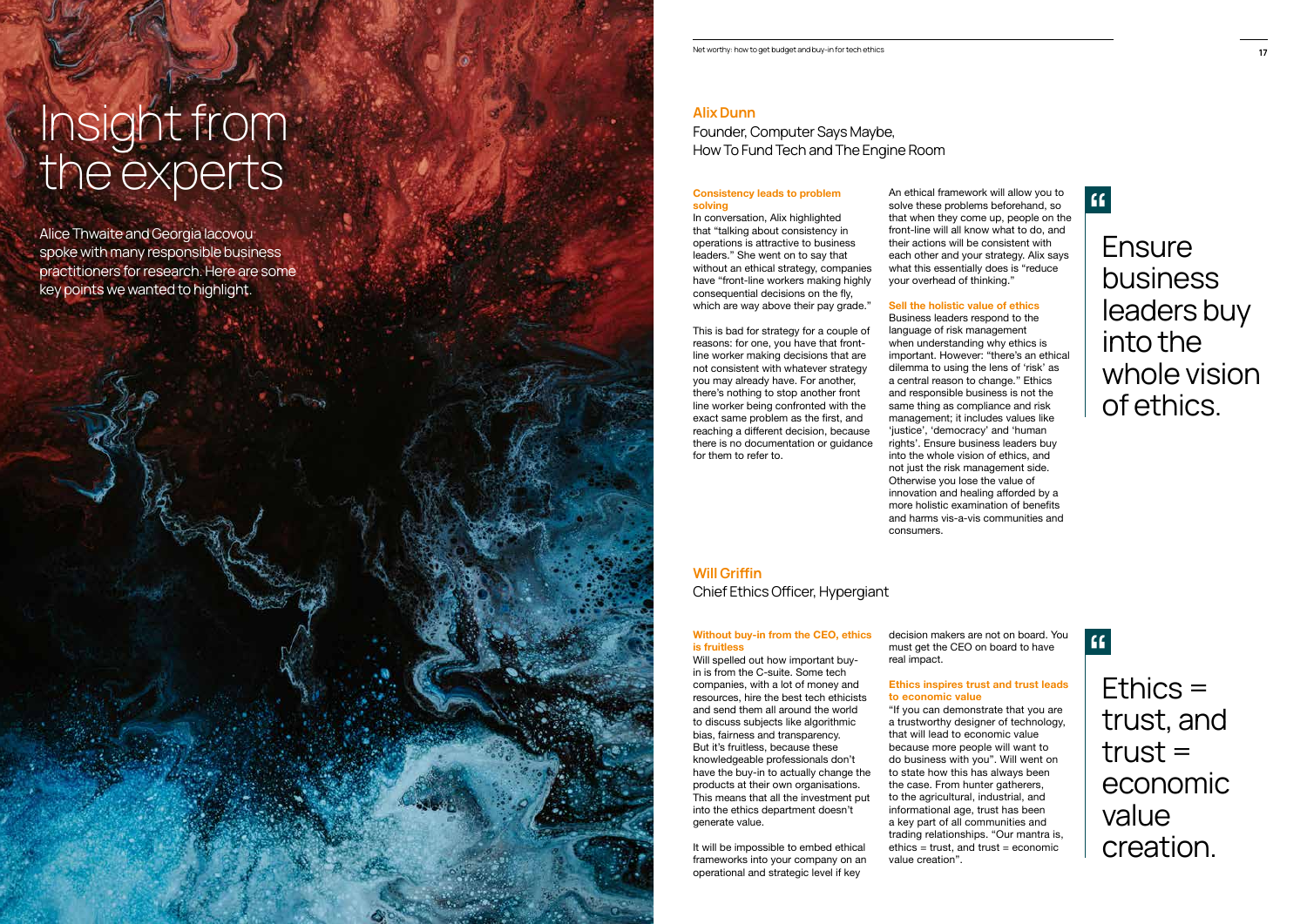## Alix Dunn

Founder, Computer Says Maybe, How To Fund Tech and The Engine Room

Will Grifin Chief Ethics Oficer, Hypergiant

## **Without buy-in from the CEO, ethics is fruitless**

In conversation, Alix highlighted that "talking about consistency in operations is attractive to business leaders." She went on to say that without an ethical strategy, companies have "front-line workers making highly consequential decisions on the fly, which are way above their pay grade."

Alice Thwaite and Georgia Iacovou spoke with many responsible business practitioners for research. Here are some key points we wanted to highlight.

# Insight from the experts **Consistency leads to problem**

# **solving**

Will spelled out how important buyin is from the C-suite. Some tech companies, with a lot of money and resources, hire the best tech ethicists and send them all around the world to discuss subjects like algorithmic bias, fairness and transparency. But it's fruitless, because these knowledgeable professionals don't have the buy-in to actually change the products at their own organisations. This means that all the investment put into the ethics department doesn't generate value.

This is bad for strategy for a couple of reasons: for one, you have that frontline worker making decisions that are not consistent with whatever strategy you may already have. For another, there's nothing to stop another front line worker being confronted with the exact same problem as the first, and reaching a different decision, because there is no documentation or guidance for them to refer to.

It will be impossible to embed ethical frameworks into your company on an operational and strategic level if key

An ethical framework will allow you to solve these problems beforehand, so that when they come up, people on the front-line will all know what to do, and their actions will be consistent with each other and your strategy. Alix says what this essentially does is "reduce your overhead of thinking."

### **Sell the holistic value of ethics**

Business leaders respond to the language of risk management when understanding why ethics is important. However: "there's an ethical dilemma to using the lens of 'risk' as a central reason to change.'' Ethics and responsible business is not the same thing as compliance and risk management; it includes values like 'justice', 'democracy' and 'human rights'. Ensure business leaders buy into the whole vision of ethics, and not just the risk management side. Otherwise you lose the value of innovation and healing afforded by a more holistic examination of benefits and harms vis-a-vis communities and consumers.

decision makers are not on board. You must get the CEO on board to have real impact.

### **Ethics inspires trust and trust leads to economic value**

"If you can demonstrate that you are a trustworthy designer of technology, that will lead to economic value because more people will want to do business with you". Will went on to state how this has always been the case. From hunter gatherers, to the agricultural, industrial, and informational age, trust has been a key part of all communities and trading relationships. "Our mantra is,  $ethics = trust$ , and  $trust = economic$ value creation".

# $\mathbf{G}$

Ensure business leaders buy into the whole vision of ethics.

# $\mathbf{G}$

Ethics = trust, and  $trust =$ economic value creation.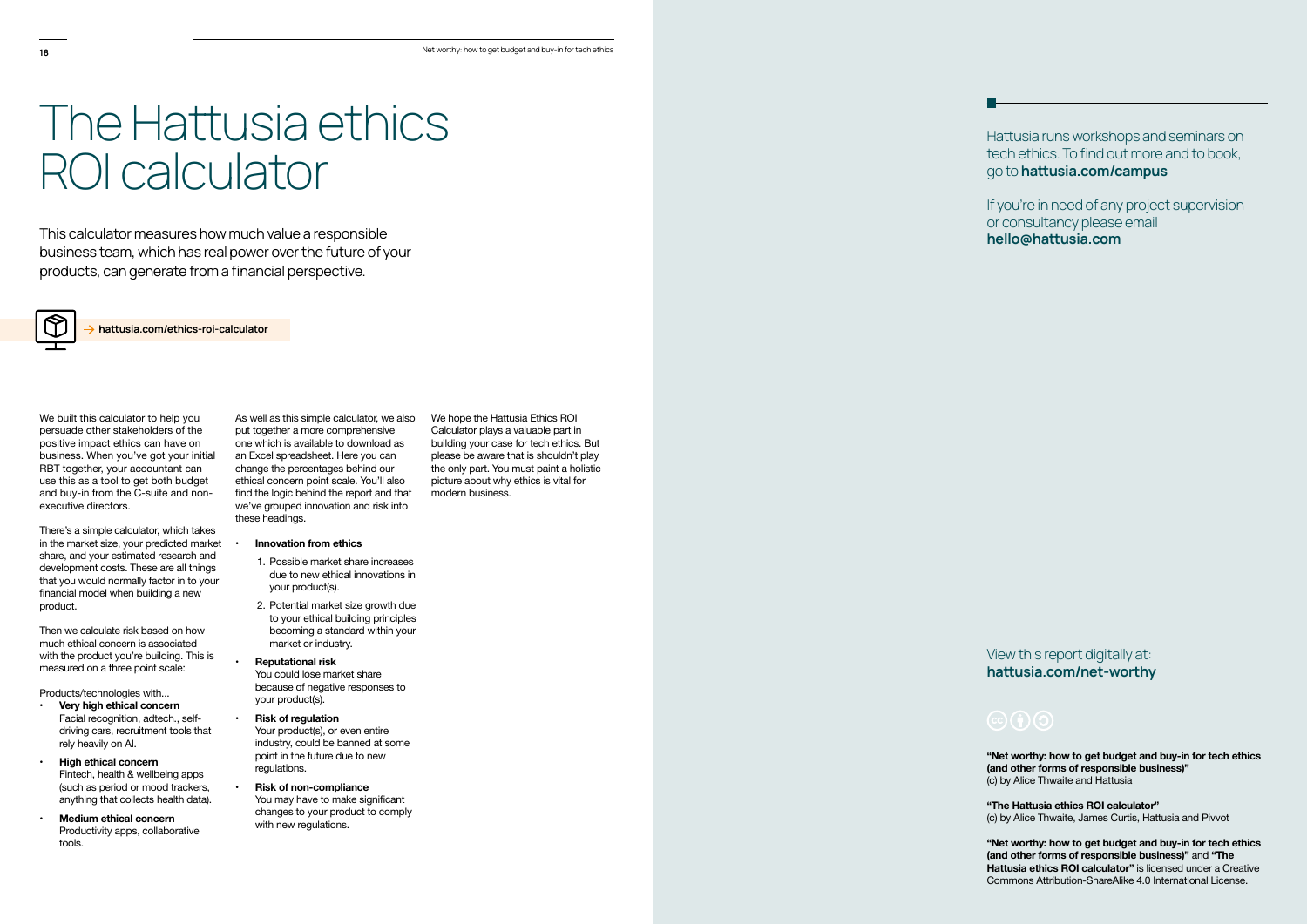This calculator measures how much value a responsible business team, which has real power over the future of your products, can generate from a financial perspective.



hattusia.com/ethics-roi-calculator

# The Hatusia ethics ROI calculator

We built this calculator to help you persuade other stakeholders of the positive impact ethics can have on business. When you've got your initial RBT together, your accountant can use this as a tool to get both budget and buy-in from the C-suite and nonexecutive directors.

There's a simple calculator, which takes in the market size, your predicted market share, and your estimated research and development costs. These are all things that you would normally factor in to your financial model when building a new product.

Then we calculate risk based on how much ethical concern is associated with the product you're building. This is measured on a three point scale:

- **Innovation from ethics**
- 1. Possible market share increases due to new ethical innovations in vour product(s).
- 2. Potential market size growth due to your ethical building principles becoming a standard within your market or industry.
- **Reputational risk** You could lose market share

because of negative responses to your product(s).

Products/technologies with...

- **Risk of regulation** Your product(s), or even entire industry, could be banned at some point in the future due to new regulations.
- **Risk of non-compliance** You may have to make significant changes to your product to comply with new regulations.

Hatusia runs workshops and seminars on tech ethics. To find out more and to book, go to hattusia.com/campus

- **Very high ethical concern** Facial recognition, adtech., selfdriving cars, recruitment tools that rely heavily on AI.
- **High ethical concern** Fintech, health & wellbeing apps (such as period or mood trackers, anything that collects health data).
- **Medium ethical concern** Productivity apps, collaborative tools.

If you're in need of any project supervision or consultancy please email hello@hattusia.com

View this report digitally at: hattusia.com/net-worthy

"Net worthy: how to get budget and buy-in for tech ethics (and other forms of responsible business)" (c) by Alice Thwaite and Hattusia

"The Hattusia ethics ROI calculator" (c) by Alice Thwaite, James Curtis, Hattusia and Pivvot

As well as this simple calculator, we also put together a more comprehensive one which is available to download as an Excel spreadsheet. Here you can change the percentages behind our ethical concern point scale. You'll also find the logic behind the report and that we've grouped innovation and risk into these headings.

> "Net worthy: how to get budget and buy-in for tech ethics **(and other forms of responsible business)**" and "The **Hattusia ethics ROI calculator"** is licensed under a Creative Commons Attribution-ShareAlike 4.0 International License.

We hope the Hattusia Ethics ROI Calculator plays a valuable part in building your case for tech ethics. But please be aware that is shouldn't play the only part. You must paint a holistic picture about why ethics is vital for

modern business.